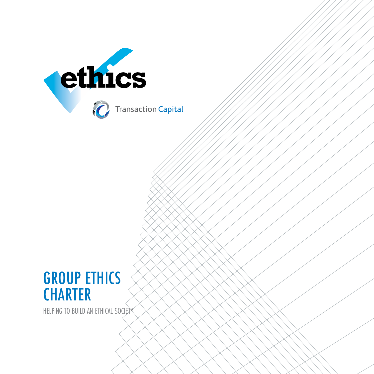

## GROUP ETHICS **CHARTER**

HELPING TO BUILD AN ETHICAL SOCIETY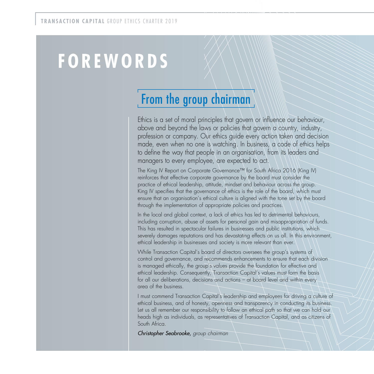# **F O R E W O R D S**

## From the group chairman

Ethics is a set of moral principles that govern or influence our behaviour, above and beyond the laws or policies that govern a country, industry, profession or company. Our ethics guide every action taken and decision made, even when no one is watching. In business, a code of ethics helps to define the way that people in an organisation, from its leaders and managers to every employee, are expected to act.

The King IV Report on Corporate Governance™ for South Africa 2016 (King IV) reinforces that effective corporate governance by the board must consider the practice of ethical leadership, attitude, mindset and behaviour across the group. King IV specifies that the governance of ethics is the role of the board, which must ensure that an organisation's ethical culture is aligned with the tone set by the board through the implementation of appropriate policies and practices.

In the local and global context, a lack of ethics has led to detrimental behaviours, including corruption, abuse of assets for personal gain and misappropriation of funds. This has resulted in spectacular failures in businesses and public institutions, which severely damages reputations and has devastating effects on us all. In this environment, ethical leadership in businesses and society is more relevant than ever.

While Transaction Capital's board of directors oversees the group's systems of control and governance, and recommends enhancements to ensure that each division is managed ethically, the group's values provide the foundation for effective and ethical leadership. Consequently, Transaction Capital's values must form the basis for all our deliberations, decisions and actions – at board level and within every area of the business.

I must commend Transaction Capital's leadership and employees for driving a culture of ethical business, and of honesty, openness and transparency in conducting its business. Let us all remember our responsibility to follow an ethical path so that we can hold our heads high as individuals, as representatives of Transaction Capital, and as citizens of South Africa.

Christopher Seabrooke, group chairman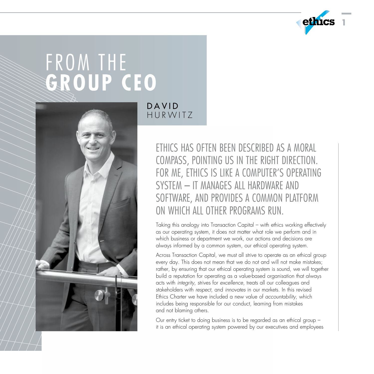

# FROM THE **GROUP CEO**



D A V I D HUR WITZ

> ETHICS HAS OFTEN BEEN DESCRIBED AS A MORAL COMPASS, POINTING US IN THE RIGHT DIRECTION. FOR ME, ETHICS IS LIKE A COMPUTER'S OPERATING SYSTEM - IT MANAGES ALL HARDWARE AND SOFTWARE, AND PROVIDES A COMMON PLATFORM ON WHICH ALL OTHER PROGRAMS RUN

Taking this analogy into Transaction Capital – with ethics working effectively as our operating system, it does not matter what role we perform and in which business or department we work, our actions and decisions are always informed by a common system, our ethical operating system.

Across Transaction Capital, we must all strive to operate as an ethical group every day. This does not mean that we do not and will not make mistakes; rather, by ensuring that our ethical operating system is sound, we will together build a reputation for operating as a value-based organisation that always acts with integrity, strives for excellence, treats all our colleagues and stakeholders with respect, and innovates in our markets. In this revised Ethics Charter we have included a new value of accountability, which includes being responsible for our conduct, learning from mistakes and not blaming others.

Our entry ticket to doing business is to be regarded as an ethical group – it is an ethical operating system powered by our executives and employees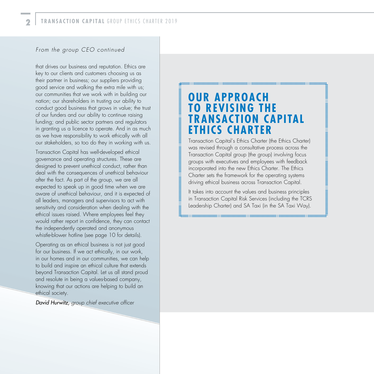#### From the group CEO continued

that drives our business and reputation. Ethics are key to our clients and customers choosing us as their partner in business; our suppliers providing good service and walking the extra mile with us; our communities that we work with in building our nation; our shareholders in trusting our ability to conduct good business that grows in value; the trust of our funders and our ability to continue raising funding; and public sector partners and regulators in granting us a licence to operate. And in as much as we have responsibility to work ethically with all our stakeholders, so too do they in working with us.

Transaction Capital has well-developed ethical governance and operating structures. These are designed to prevent unethical conduct, rather than deal with the consequences of unethical behaviour after the fact. As part of the group, we are all expected to speak up in good time when we are aware of unethical behaviour, and it is expected of all leaders, managers and supervisors to act with sensitivity and consideration when dealing with the ethical issues raised. Where employees feel they would rather report in confidence, they can contact the independently operated and anonymous whistle-blower hotline (see page 10 for details).

Operating as an ethical business is not just good for our business. If we act ethically, in our work, in our homes and in our communities, we can help to build and inspire an ethical culture that extends beyond Transaction Capital. Let us all stand proud and resolute in being a values-based company, knowing that our actions are helping to build an ethical society.

David Hurwitz, group chief executive officer

## **OUR APPROACH TOꢀREVISING THE TRANSACTION CAPITAL ETHICS CHARTER**

groundromandromandromandromandromandromandromandromandro

Transaction Capital's Ethics Charter (the Ethics Charter) was revised through a consultative process across the Transaction Capital group (the group) involving focus groups with executives and employees with feedback incorporated into the new Ethics Charter. The Ethics Charter sets the framework for the operating systems driving ethical business across Transaction Capital.

понимания и полно на полно на полно на полно на полно на полно на полно на полно на полно на полно на полно на

It takes into account the values and business principles in Transaction Capital Risk Services (including the TCRS Leadership Charter) and SA Taxi (in the SA Taxi Way).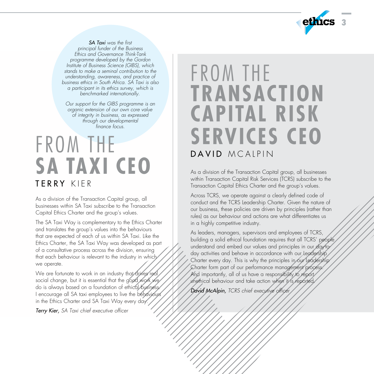

SA Taxi was the first principal funder of the Business Ethics and Governance Think-Tank programme developed by the Gordon Institute of Business Science (GIBS), which stands to make a seminal contribution to the understanding, awareness, and practice of business ethics in South Africa. SA Taxi is also a participant in its ethics survey, which is benchmarked internationally.

Our support for the GIBS programme is an organic extension of our own core value of integrity in business, as expressed through our developmental finance focus.

## FROM THE **SA TAXI CEO** T E R R Y K I E R

As a division of the Transaction Capital group, all businesses within SA Taxi subscribe to the Transaction Capital Ethics Charter and the group's values.

The SA Taxi Way is complementary to the Ethics Charter and translates the group's values into the behaviours that are expected of each of us within SA Taxi. Like the Ethics Charter, the SA Taxi Way was developed as part of a consultative process across the division, ensuring that each behaviour is relevant to the industry in which we operate.

We are fortunate to work in an industry that drives real social change, but it is essential that the good work we do is always based on a foundation of ethical business. I encourage all SA taxi employees to live the behaviours in the Ethics Charter and SA Taxi Way every day.

**Terry Kier,** SA Taxi chief executive officer

## FROM THE **TRANSACTION CAPITAL RISK SERVICES CEO** DAVID MCAIPIN

As a division of the Transaction Capital group, all businesses within Transaction Capital Risk Services (TCRS) subscribe to the Transaction Capital Ethics Charter and the group's values.

Across TCRS, we operate against a clearly defined code of conduct and the TCRS Leadership Charter. Given the nature of our business, these policies are driven by principles (rather than rules) as our behaviour and actions are what differentiates us in a highly competitive industry.

As leaders, managers, supervisors and employees of TCRS, building a solid ethical foundation requires that all TCRS' people understand and embed our values and principles in our day-today activities and behave in accordance with our Leadership Charter every day. This is why the principles in our Leadership Charter form part of our performance management process. And importantly, all of us have a responsibility to report unethical behaviour and take action when it is reported.

David McAlpin, TCRS chief executive officer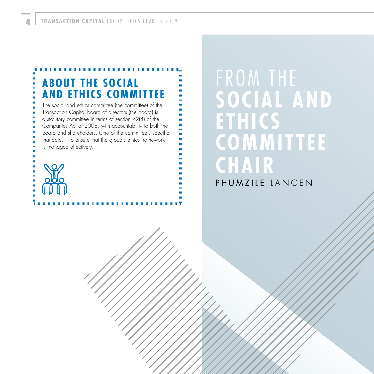### **ABOUT THE SOCIAL AND ETHICS COMMITTEE**

The social and ethics committee (the committee) of the Transaction Capital board of directors (the board) is a statutory committee in terms of section 72(4) of the Companies Act of 2008, with accountability to both the board and shareholders. One of the committee's specific mandates it to ensure that the group's ethics framework isꢀmanaged effectively.



# FROM THE **SOCIAL AND ETHICS COMMITTEE CHAIR**

### PHUM ZILE LANGENI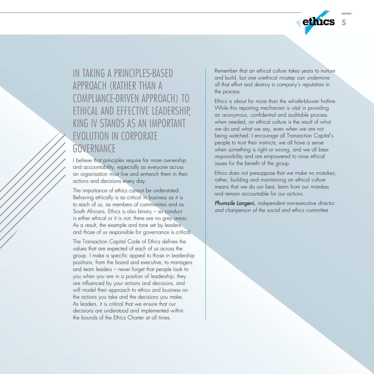

IN TAKING A PRINCIPLES-BASED APPROACH (RATHER THAN A COMPLIANCE-DRIVEN APPROACH) TO ETHICAL AND EFFECTIVE LEADERSHIP, KING IV STANDS AS AN IMPORTANT EVOLUTION IN CORPORATE **GOVERNANCE** 

I believe that principles require far more ownership and accountability, especially as everyone across an organisation must live and entrench them in their actions and decisions every day.

The importance of ethics cannot be understated. Behaving ethically is as critical in business as it is to each of us, as members of communities and as South Africans. Ethics is also binary – so conduct is either ethical or it is not; there are no grey areas. As a result, the example and tone set by leaders. and those of us responsible for governance is critical.

The Transaction Capital Code of Ethics defines the values that are expected of each of us across the group. I make a specific appeal to those in leadership positions, from the board and executive, to managers and team leaders – never forget that people look to you when you are in a position of leadership; they are influenced by your actions and decisions, and will model their approach to ethics and business on the actions you take and the decisions you make. As leaders, it is critical that we ensure that our decisions are understood and implemented within the bounds of the Ethics Charter at all times.

Remember that an ethical culture takes years to nurture and build, but one unethical misstep can undermine all that effort and destroy a company's reputation in the process.

Ethics is about far more than the whistle-blower hotline. While this reporting mechanism is vital in providing an anonymous, confidential and auditable process when needed, an ethical culture is the result of what we do and what we say, even when we are not being watched. I encourage all Transaction Capital's people to trust their instincts; we all have a sense when something is right or wrong, and we all bear responsibility and are empowered to raise ethical issues for the benefit of the group.

Ethics does not presuppose that we make no mistakes; rather, building and maintaining an ethical culture means that we do our best, learn from our mistakes and remain accountable for our actions.

Phumzile Langeni, independent non-executive director and chairperson of the social and ethics committee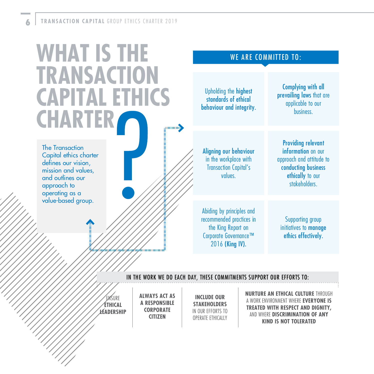# **WHAT IS THE TRANSACTION CAPITAL ETHICS CHARTER**  $\equiv$ mmmmm

The Transaction Capital ethics charter defines our vision. mission and values, and outlines our approach to operating as a value-based group.

#### WE ARE COMMITTED TO:

Upholding the highest standards of ethical behaviour and integrity.

Aligning our behaviour in the workplace with Transaction Capital's values.

Providing relevant information on our approach and attitude to conducting business ethically to our stakeholders.

Complying with all prevailing laws that are applicable to our **business** 

Abiding by principles and recommended practices in the King Report on Corporate Governance™ 2016 (King IV).

Supporting group initiatives to manage ethics effectively.

#### IN THE WORK WE DO EACH DAY, THESE COMMITMENTS SUPPORT OUR EFFORTS TO:

ENSURE **ETHICAL LEADERSHIP** **ALWAYS ACT AS A RESPONSIBLE CORPORATE CITIZEN**

www.communications.com

**INCLUDE OUR STAKEHOLDERS** IN OUR EFFORTS TO OPERATE ETHICALLY

**NURTURE AN ETHICAL CULTURE** THROUGH A WORK ENVIRONMENT WHERE **EVERYONE IS TREATED WITH RESPECT AND DIGNITY,** AND WHERE **DISCRIMINATION OF ANY KIND IS NOT TOLERATED**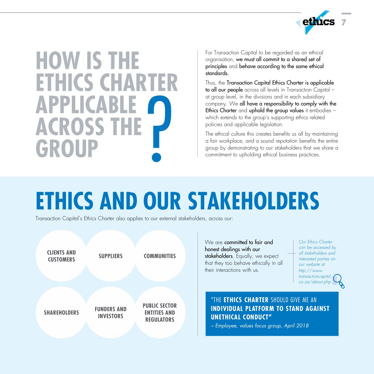

# **HOW IS THE ETHICS CHARTER APPLICABLE ACROSS THE GROUP**

For Transaction Capital to be regarded as an ethical organisation, we must all commit to a shared set of principles and behave according to the same ethical standards.

Thus, the Transaction Capital Ethics Charter is applicable to all our people across all levels in Transaction Capital at group level, in the divisions and in each subsidiary company. We all have a responsibility to comply with the Ethics Charter and uphold the group values it embodies – which extends to the group's supporting ethics related policies and applicable legislation.

The ethical culture this creates benefits us all by maintaining a fair workplace, and a sound reputation benefits the entire group by demonstrating to our stakeholders that we share a commitment to upholding ethical business practices.

# **ETHICS AND OUR STAKEHOLDERS**

Transaction Capital's Ethics Charter also applies to our external stakeholders, across our:



We are **committed to fair and** honest dealings with our stakeholders. Equally, we expect that they too behave ethically in all their interactions with us.

Our Ethics Charter can be accessed by all stakeholders and interested parties on our website at http://www. transactioncapital. co.za/about.php

#### "THE **ETHICS CHARTER** SHOULD GIVE ME AN **INDIVIDUAL PLATFORM TO STAND AGAINST UNETHICAL CONDUCT"**

– Employee, values focus group, April 2018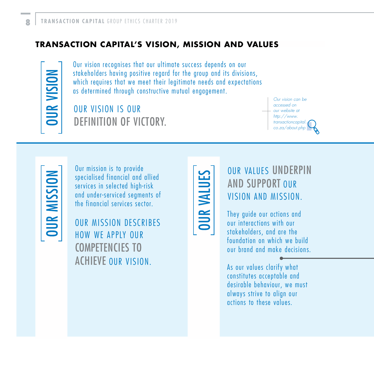#### **TRANSACTION CAPITAL'S VISION, MISSION AND VALUES**

**DURVISION** 

Our vision recognises that our ultimate success depends on our stakeholders having positive regard for the group and its divisions, which requires that we meet their legitimate needs and expectations as determined through constructive mutual engagement.

## OUR VISION IS OUR DEFINITION OF VICTORY.

Our vision can be accessed on our website at http://www. transactioncapital. co.za/about.php

**OUR MISSION** 

Our mission is to provide specialised financial and allied services in selected high-risk and under-serviced segments of the financial services sector.

OUR MISSION DESCRIBES HOW WE APPLY OUR COMPETENCIES TO ACHIEVE OUR VISION.



## OUR VALUES UNDERPIN AND SUPPORT OUR VISION AND MISSION.

They guide our actions and our interactions with our stakeholders, and are the foundation on which we build our brand and make decisions.

As our values clarify what constitutes acceptable and desirable behaviour, we must always strive to align our actions to these values.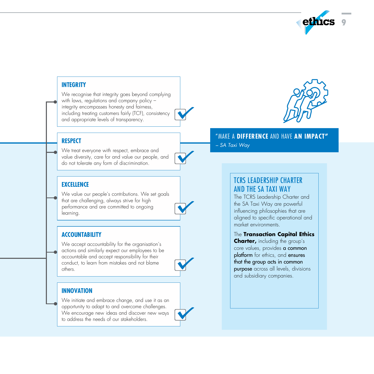

#### **INTEGRITY**

We recognise that integrity goes beyond complying with laws, regulations and company policy – integrity encompasses honesty and fairness, including treating customers fairly (TCF), consistency and appropriate levels of transparency.

#### **RESPECT**

We treat everyone with respect, embrace and value diversity, care for and value our people, and do not tolerate any form of discrimination.

#### **EXCELLENCE**

We value our people's contributions. We set goals that are challenging, always strive for high performance and are committed to ongoing learning.

#### **ACCOUNTABILITY**

We accept accountability for the organisation's actions and similarly expect our employees to be accountable and accept responsibility for their conduct, to learn from mistakes and not blame others.

#### **INNOVATION**

We initiate and embrace change, and use it as an opportunity to adapt to and overcome challenges. We encourage new ideas and discover new ways to address the needs of our stakeholders.



#### "MAKE A **DIFFERENCE** AND HAVE **AN IMPACT"** – SA Taxi Way

#### TCRS LEADERSHIP CHARTER AND THE SA TAXI WAY

The TCRS Leadership Charter and the SA Taxi Way are powerful influencing philosophies that are aligned to specific operational and market environments.

#### The **Transaction Capital Ethics**

**Charter,** including the group's core values, provides a common platform for ethics, and ensures that the group acts in common purpose across all levels, divisions and subsidiary companies.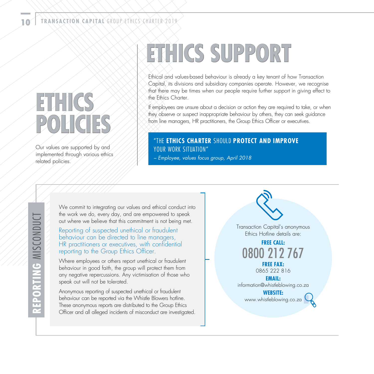# **ETHICS POLICIES**

Our values are supported by and implemented through various ethics related policies.

# **ETHICS SUPPORT**

Ethical and values-based behaviour is already a key tenant of how Transaction Capital, its divisions and subsidiary companies operate. However, we recognise that there may be times when our people require further support in giving effect to the Ethics Charter

If employees are unsure about a decision or action they are required to take, or when they observe or suspect inappropriate behaviour by others, they can seek guidance from line managers, HR practitioners, the Group Ethics Officer or executives.

#### "THE **ETHICS CHARTER** SHOULD **PROTECT AND IMPROVE** YOUR WORK SITUATION"

– Employee, values focus group, April 2018

We commit to integrating our values and ethical conduct into the work we do, every day, and are empowered to speak out where we believe that this commitment is not being met.

Reporting of suspected unethical or fraudulent behaviour can be directed to line managers, HR practitioners or executives, with confidential reporting to the Group Ethics Officer.

Where employees or others report unethical or fraudulent behaviour in good faith, the group will protect them from any negative repercussions. Any victimisation of those who speak out will not be tolerated.

Anonymous reporting of suspected unethical or fraudulent behaviour can be reported via the Whistle Blowers hotline. These anonymous reports are distributed to the Group Ethics Officer and all alleged incidents of misconduct are investigated. Transaction Capital's anonymous Ethics Hotline details are:

> **FREE CALL:** 0800 212 767 **FREE FAX:**

> > 0865 222 816

**EMAIL:** information@whistleblowing.co.za

**WEBSITE:** www.whistleblowing.co.za